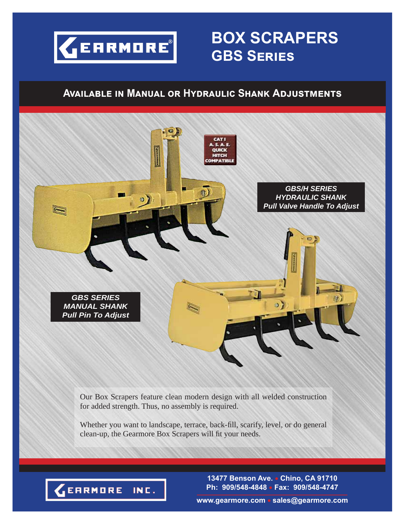

## **BOX SCRAPERS GBS SERIES**

### **AVAILABLE IN MANUAL OR HYDRAULIC SHANK ADJUSTMENTS**



Whether you want to landscape, terrace, back-fill, scarify, level, or do general clean-up, the Gearmore Box Scrapers will fit your needs.



**13477 Benson Ave. Chino, CA 91710 Ph: 909/548-4848 Fax: 909/548-4747**

**www.gearmore.com sales@gearmore.com**